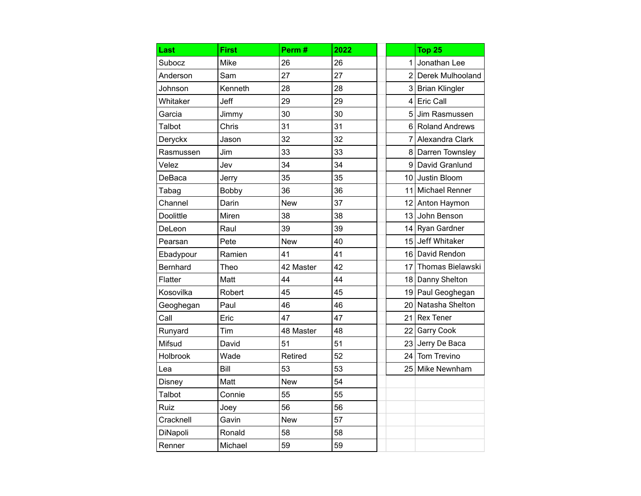| Last      | <b>First</b> | Perm#      | 2022 |                 | Top 25                |
|-----------|--------------|------------|------|-----------------|-----------------------|
| Subocz    | Mike         | 26         | 26   | 1               | Jonathan Lee          |
| Anderson  | Sam          | 27         | 27   |                 | 2 Derek Mulhooland    |
| Johnson   | Kenneth      | 28         | 28   | 3 <sup>1</sup>  | <b>Brian Klingler</b> |
| Whitaker  | Jeff         | 29         | 29   | $\overline{4}$  | <b>Eric Call</b>      |
| Garcia    | Jimmy        | 30         | 30   |                 | 5 Jim Rasmussen       |
| Talbot    | Chris        | 31         | 31   |                 | 6 Roland Andrews      |
| Deryckx   | Jason        | 32         | 32   |                 | 7 Alexandra Clark     |
| Rasmussen | Jim          | 33         | 33   |                 | 8 Darren Townsley     |
| Velez     | Jev          | 34         | 34   |                 | 9 David Granlund      |
| DeBaca    | Jerry        | 35         | 35   |                 | 10 Justin Bloom       |
| Tabag     | <b>Bobby</b> | 36         | 36   |                 | 11 Michael Renner     |
| Channel   | Darin        | <b>New</b> | 37   |                 | 12 Anton Haymon       |
| Doolittle | Miren        | 38         | 38   |                 | 13 John Benson        |
| DeLeon    | Raul         | 39         | 39   |                 | 14 Ryan Gardner       |
| Pearsan   | Pete         | <b>New</b> | 40   |                 | 15 Jeff Whitaker      |
| Ebadypour | Ramien       | 41         | 41   |                 | 16 David Rendon       |
| Bernhard  | Theo         | 42 Master  | 42   |                 | 17 Thomas Bielawski   |
| Flatter   | Matt         | 44         | 44   | 18              | Danny Shelton         |
| Kosovilka | Robert       | 45         | 45   |                 | 19 Paul Geoghegan     |
| Geoghegan | Paul         | 46         | 46   |                 | 20 Natasha Shelton    |
| Call      | Eric         | 47         | 47   | 21              | <b>Rex Tener</b>      |
| Runyard   | Tim          | 48 Master  | 48   | 22              | <b>Garry Cook</b>     |
| Mifsud    | David        | 51         | 51   |                 | 23 Jerry De Baca      |
| Holbrook  | Wade         | Retired    | 52   | 24 <sub>l</sub> | Tom Trevino           |
| Lea       | Bill         | 53         | 53   |                 | 25 Mike Newnham       |
| Disney    | Matt         | <b>New</b> | 54   |                 |                       |
| Talbot    | Connie       | 55         | 55   |                 |                       |
| Ruiz      | Joey         | 56         | 56   |                 |                       |
| Cracknell | Gavin        | <b>New</b> | 57   |                 |                       |
| DiNapoli  | Ronald       | 58         | 58   |                 |                       |
| Renner    | Michael      | 59         | 59   |                 |                       |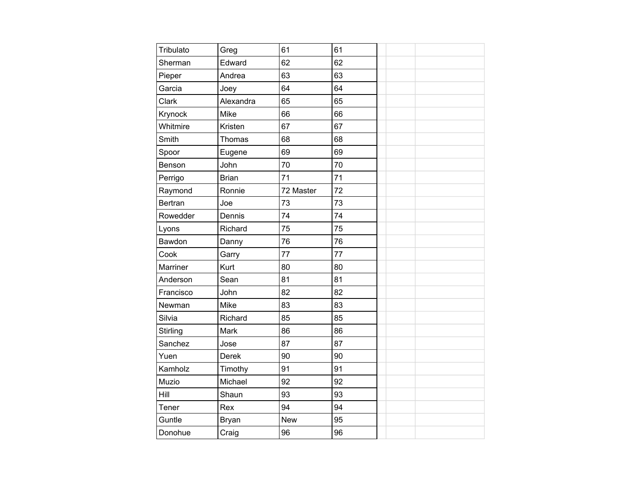| Tribulato      | Greg         | 61         | 61 |  |  |
|----------------|--------------|------------|----|--|--|
| Sherman        | Edward       | 62         | 62 |  |  |
| Pieper         | Andrea       | 63         | 63 |  |  |
| Garcia         | Joey         | 64         | 64 |  |  |
| Clark          | Alexandra    | 65         | 65 |  |  |
| Krynock        | Mike         | 66         | 66 |  |  |
| Whitmire       | Kristen      | 67         | 67 |  |  |
| Smith          | Thomas       | 68         | 68 |  |  |
| Spoor          | Eugene       | 69         | 69 |  |  |
| Benson         | John         | 70         | 70 |  |  |
| Perrigo        | <b>Brian</b> | 71         | 71 |  |  |
| Raymond        | Ronnie       | 72 Master  | 72 |  |  |
| <b>Bertran</b> | Joe          | 73         | 73 |  |  |
| Rowedder       | Dennis       | 74         | 74 |  |  |
| Lyons          | Richard      | 75         | 75 |  |  |
| Bawdon         | Danny        | 76         | 76 |  |  |
| Cook           | Garry        | 77         | 77 |  |  |
| Marriner       | Kurt         | 80         | 80 |  |  |
| Anderson       | Sean         | 81         | 81 |  |  |
| Francisco      | John         | 82         | 82 |  |  |
| Newman         | Mike         | 83         | 83 |  |  |
| Silvia         | Richard      | 85         | 85 |  |  |
| Stirling       | Mark         | 86         | 86 |  |  |
| Sanchez        | Jose         | 87         | 87 |  |  |
| Yuen           | Derek        | 90         | 90 |  |  |
| Kamholz        | Timothy      | 91         | 91 |  |  |
| Muzio          | Michael      | 92         | 92 |  |  |
| Hill           | Shaun        | 93         | 93 |  |  |
| Tener          | Rex          | 94         | 94 |  |  |
| Guntle         | Bryan        | <b>New</b> | 95 |  |  |
| Donohue        | Craig        | 96         | 96 |  |  |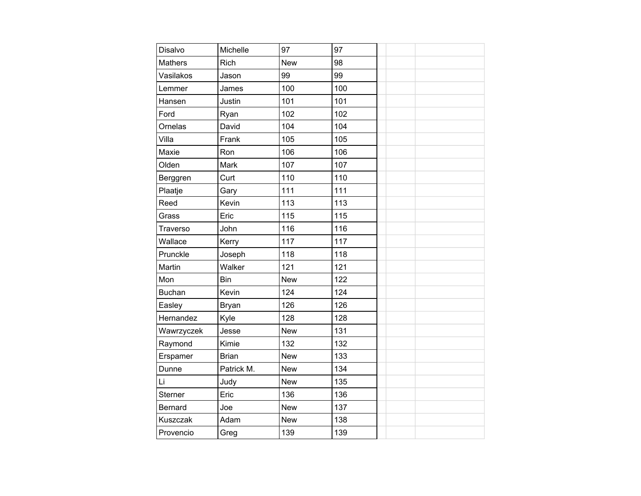| Disalvo        | Michelle     | 97         | 97  |  |
|----------------|--------------|------------|-----|--|
| <b>Mathers</b> | Rich         | <b>New</b> | 98  |  |
| Vasilakos      | Jason        | 99         | 99  |  |
| Lemmer         | James        | 100        | 100 |  |
| Hansen         | Justin       | 101        | 101 |  |
| Ford           | Ryan         | 102        | 102 |  |
| Ornelas        | David        | 104        | 104 |  |
| Villa          | Frank        | 105        | 105 |  |
| Maxie          | Ron          | 106        | 106 |  |
| Olden          | Mark         | 107        | 107 |  |
| Berggren       | Curt         | 110        | 110 |  |
| Plaatje        | Gary         | 111        | 111 |  |
| Reed           | Kevin        | 113        | 113 |  |
| Grass          | Eric         | 115        | 115 |  |
| Traverso       | John         | 116        | 116 |  |
| Wallace        | Kerry        | 117        | 117 |  |
| Prunckle       | Joseph       | 118        | 118 |  |
| Martin         | Walker       | 121        | 121 |  |
| Mon            | Bin          | <b>New</b> | 122 |  |
| <b>Buchan</b>  | Kevin        | 124        | 124 |  |
| Easley         | Bryan        | 126        | 126 |  |
| Hernandez      | Kyle         | 128        | 128 |  |
| Wawrzyczek     | Jesse        | <b>New</b> | 131 |  |
| Raymond        | Kimie        | 132        | 132 |  |
| Erspamer       | <b>Brian</b> | <b>New</b> | 133 |  |
| Dunne          | Patrick M.   | <b>New</b> | 134 |  |
| Li             | Judy         | <b>New</b> | 135 |  |
| Sterner        | Eric         | 136        | 136 |  |
| Bernard        | Joe          | <b>New</b> | 137 |  |
| Kuszczak       | Adam         | <b>New</b> | 138 |  |
| Provencio      | Greg         | 139        | 139 |  |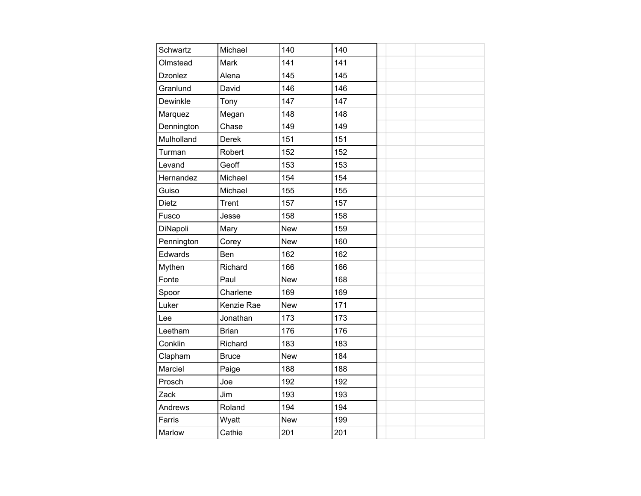| Schwartz     | Michael      | 140        | 140 |  |
|--------------|--------------|------------|-----|--|
| Olmstead     | Mark         | 141        | 141 |  |
| Dzonlez      | Alena        | 145        | 145 |  |
| Granlund     | David        | 146        | 146 |  |
| Dewinkle     | Tony         | 147        | 147 |  |
| Marquez      | Megan        | 148        | 148 |  |
| Dennington   | Chase        | 149        | 149 |  |
| Mulholland   | Derek        | 151        | 151 |  |
| Turman       | Robert       | 152        | 152 |  |
| Levand       | Geoff        | 153        | 153 |  |
| Hernandez    | Michael      | 154        | 154 |  |
| Guiso        | Michael      | 155        | 155 |  |
| <b>Dietz</b> | Trent        | 157        | 157 |  |
| Fusco        | Jesse        | 158        | 158 |  |
| DiNapoli     | Mary         | <b>New</b> | 159 |  |
| Pennington   | Corey        | <b>New</b> | 160 |  |
| Edwards      | Ben          | 162        | 162 |  |
| Mythen       | Richard      | 166        | 166 |  |
| Fonte        | Paul         | <b>New</b> | 168 |  |
| Spoor        | Charlene     | 169        | 169 |  |
| Luker        | Kenzie Rae   | <b>New</b> | 171 |  |
| Lee          | Jonathan     | 173        | 173 |  |
| Leetham      | <b>Brian</b> | 176        | 176 |  |
| Conklin      | Richard      | 183        | 183 |  |
| Clapham      | <b>Bruce</b> | <b>New</b> | 184 |  |
| Marciel      | Paige        | 188        | 188 |  |
| Prosch       | Joe          | 192        | 192 |  |
| Zack         | Jim          | 193        | 193 |  |
| Andrews      | Roland       | 194        | 194 |  |
| Farris       | Wyatt        | <b>New</b> | 199 |  |
| Marlow       | Cathie       | 201        | 201 |  |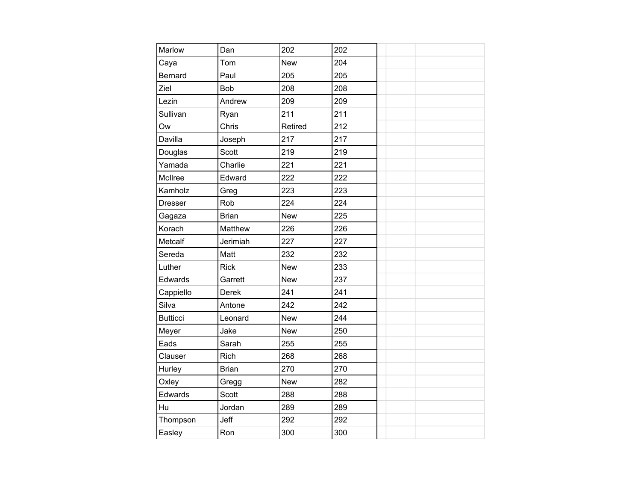| Marlow          | Dan          | 202        | 202 |  |
|-----------------|--------------|------------|-----|--|
| Caya            | Tom          | <b>New</b> | 204 |  |
| Bernard         | Paul         | 205        | 205 |  |
| Ziel            | Bob          | 208        | 208 |  |
| Lezin           | Andrew       | 209        | 209 |  |
| Sullivan        | Ryan         | 211        | 211 |  |
| Ow              | Chris        | Retired    | 212 |  |
| Davilla         | Joseph       | 217        | 217 |  |
| Douglas         | Scott        | 219        | 219 |  |
| Yamada          | Charlie      | 221        | 221 |  |
| McIlree         | Edward       | 222        | 222 |  |
| Kamholz         | Greg         | 223        | 223 |  |
| <b>Dresser</b>  | Rob          | 224        | 224 |  |
| Gagaza          | <b>Brian</b> | <b>New</b> | 225 |  |
| Korach          | Matthew      | 226        | 226 |  |
| Metcalf         | Jerimiah     | 227        | 227 |  |
| Sereda          | Matt         | 232        | 232 |  |
| Luther          | <b>Rick</b>  | <b>New</b> | 233 |  |
| Edwards         | Garrett      | <b>New</b> | 237 |  |
| Cappiello       | Derek        | 241        | 241 |  |
| Silva           | Antone       | 242        | 242 |  |
| <b>Butticci</b> | Leonard      | <b>New</b> | 244 |  |
| Meyer           | Jake         | <b>New</b> | 250 |  |
| Eads            | Sarah        | 255        | 255 |  |
| Clauser         | Rich         | 268        | 268 |  |
| Hurley          | <b>Brian</b> | 270        | 270 |  |
| Oxley           | Gregg        | <b>New</b> | 282 |  |
| Edwards         | Scott        | 288        | 288 |  |
| Hu              | Jordan       | 289        | 289 |  |
| Thompson        | Jeff         | 292        | 292 |  |
| Easley          | Ron          | 300        | 300 |  |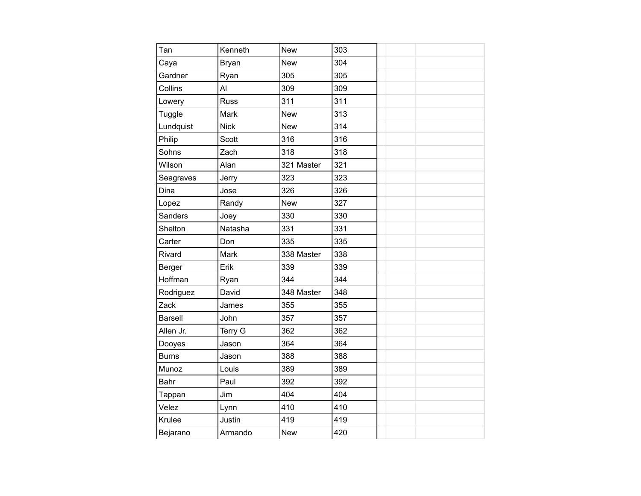| Tan            | Kenneth     | <b>New</b> | 303 |  |
|----------------|-------------|------------|-----|--|
| Caya           | Bryan       | <b>New</b> | 304 |  |
| Gardner        | Ryan        | 305        | 305 |  |
| Collins        | Al          | 309        | 309 |  |
| Lowery         | <b>Russ</b> | 311        | 311 |  |
| Tuggle         | Mark        | <b>New</b> | 313 |  |
| Lundquist      | <b>Nick</b> | <b>New</b> | 314 |  |
| Philip         | Scott       | 316        | 316 |  |
| Sohns          | Zach        | 318        | 318 |  |
| Wilson         | Alan        | 321 Master | 321 |  |
| Seagraves      | Jerry       | 323        | 323 |  |
| Dina           | Jose        | 326        | 326 |  |
| Lopez          | Randy       | <b>New</b> | 327 |  |
| Sanders        | Joey        | 330        | 330 |  |
| Shelton        | Natasha     | 331        | 331 |  |
| Carter         | Don         | 335        | 335 |  |
| Rivard         | Mark        | 338 Master | 338 |  |
| Berger         | Erik        | 339        | 339 |  |
| Hoffman        | Ryan        | 344        | 344 |  |
| Rodriguez      | David       | 348 Master | 348 |  |
| Zack           | James       | 355        | 355 |  |
| <b>Barsell</b> | John        | 357        | 357 |  |
| Allen Jr.      | Terry G     | 362        | 362 |  |
| Dooyes         | Jason       | 364        | 364 |  |
| <b>Burns</b>   | Jason       | 388        | 388 |  |
| Munoz          | Louis       | 389        | 389 |  |
| Bahr           | Paul        | 392        | 392 |  |
| Tappan         | Jim         | 404        | 404 |  |
| Velez          | Lynn        | 410        | 410 |  |
| Krulee         | Justin      | 419        | 419 |  |
| Bejarano       | Armando     | <b>New</b> | 420 |  |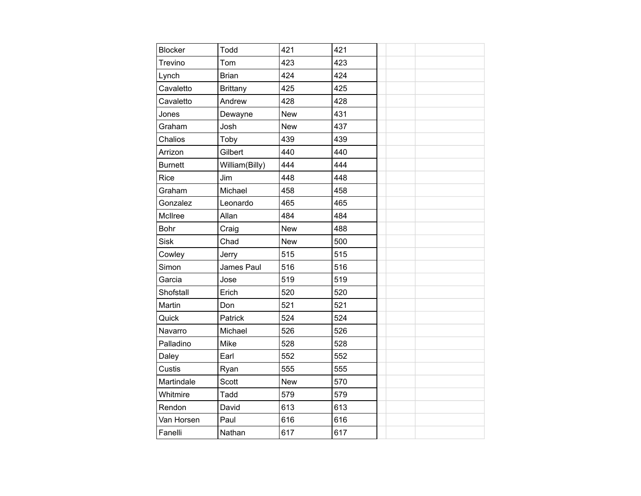| <b>Blocker</b> | Todd            | 421        | 421 |  |  |
|----------------|-----------------|------------|-----|--|--|
| Trevino        | Tom             | 423        | 423 |  |  |
| Lynch          | <b>Brian</b>    | 424        | 424 |  |  |
| Cavaletto      | <b>Brittany</b> | 425        | 425 |  |  |
| Cavaletto      | Andrew          | 428        | 428 |  |  |
| Jones          | Dewayne         | <b>New</b> | 431 |  |  |
| Graham         | Josh            | <b>New</b> | 437 |  |  |
| Chalios        | Toby            | 439        | 439 |  |  |
| Arrizon        | Gilbert         | 440        | 440 |  |  |
| <b>Burnett</b> | William(Billy)  | 444        | 444 |  |  |
| Rice           | Jim             | 448        | 448 |  |  |
| Graham         | Michael         | 458        | 458 |  |  |
| Gonzalez       | Leonardo        | 465        | 465 |  |  |
| McIlree        | Allan           | 484        | 484 |  |  |
| <b>Bohr</b>    | Craig           | <b>New</b> | 488 |  |  |
| <b>Sisk</b>    | Chad            | <b>New</b> | 500 |  |  |
| Cowley         | Jerry           | 515        | 515 |  |  |
| Simon          | James Paul      | 516        | 516 |  |  |
| Garcia         | Jose            | 519        | 519 |  |  |
| Shofstall      | Erich           | 520        | 520 |  |  |
| Martin         | Don             | 521        | 521 |  |  |
| Quick          | Patrick         | 524        | 524 |  |  |
| Navarro        | Michael         | 526        | 526 |  |  |
| Palladino      | Mike            | 528        | 528 |  |  |
| Daley          | Earl            | 552        | 552 |  |  |
| Custis         | Ryan            | 555        | 555 |  |  |
| Martindale     | Scott           | <b>New</b> | 570 |  |  |
| Whitmire       | Tadd            | 579        | 579 |  |  |
| Rendon         | David           | 613        | 613 |  |  |
| Van Horsen     | Paul            | 616        | 616 |  |  |
| Fanelli        | Nathan          | 617        | 617 |  |  |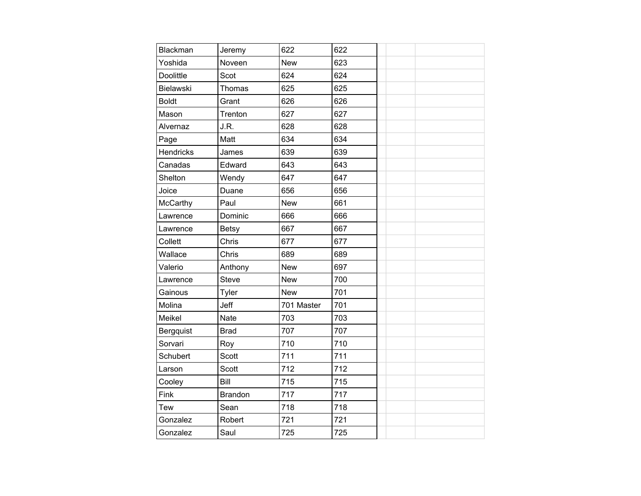| Blackman         | Jeremy         | 622        | 622 |  |
|------------------|----------------|------------|-----|--|
| Yoshida          | Noveen         | <b>New</b> | 623 |  |
| Doolittle        | Scot           | 624        | 624 |  |
| Bielawski        | Thomas         | 625        | 625 |  |
| <b>Boldt</b>     | Grant          | 626        | 626 |  |
| Mason            | Trenton        | 627        | 627 |  |
| Alvernaz         | J.R.           | 628        | 628 |  |
| Page             | Matt           | 634        | 634 |  |
| <b>Hendricks</b> | James          | 639        | 639 |  |
| Canadas          | Edward         | 643        | 643 |  |
| Shelton          | Wendy          | 647        | 647 |  |
| Joice            | Duane          | 656        | 656 |  |
| <b>McCarthy</b>  | Paul           | <b>New</b> | 661 |  |
| Lawrence         | Dominic        | 666        | 666 |  |
| Lawrence         | <b>Betsy</b>   | 667        | 667 |  |
| Collett          | Chris          | 677        | 677 |  |
| Wallace          | Chris          | 689        | 689 |  |
| Valerio          | Anthony        | <b>New</b> | 697 |  |
| Lawrence         | <b>Steve</b>   | <b>New</b> | 700 |  |
| Gainous          | Tyler          | <b>New</b> | 701 |  |
| Molina           | Jeff           | 701 Master | 701 |  |
| Meikel           | Nate           | 703        | 703 |  |
| Bergquist        | <b>Brad</b>    | 707        | 707 |  |
| Sorvari          | Roy            | 710        | 710 |  |
| Schubert         | Scott          | 711        | 711 |  |
| Larson           | Scott          | 712        | 712 |  |
| Cooley           | Bill           | 715        | 715 |  |
| Fink             | <b>Brandon</b> | 717        | 717 |  |
| Tew              | Sean           | 718        | 718 |  |
| Gonzalez         | Robert         | 721        | 721 |  |
| Gonzalez         | Saul           | 725        | 725 |  |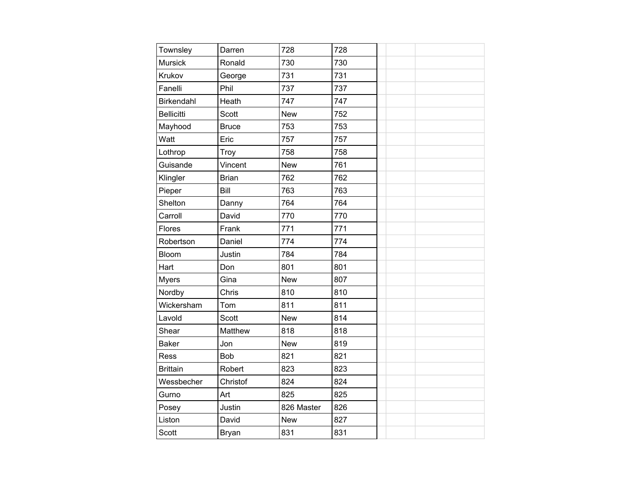| Townsley          | Darren       | 728        | 728 |  |  |
|-------------------|--------------|------------|-----|--|--|
| Mursick           | Ronald       | 730        | 730 |  |  |
| Krukov            | George       | 731        | 731 |  |  |
| Fanelli           | Phil         | 737        | 737 |  |  |
| Birkendahl        | Heath        | 747        | 747 |  |  |
| <b>Bellicitti</b> | Scott        | <b>New</b> | 752 |  |  |
| Mayhood           | <b>Bruce</b> | 753        | 753 |  |  |
| Watt              | Eric         | 757        | 757 |  |  |
| Lothrop           | Troy         | 758        | 758 |  |  |
| Guisande          | Vincent      | <b>New</b> | 761 |  |  |
| Klingler          | <b>Brian</b> | 762        | 762 |  |  |
| Pieper            | Bill         | 763        | 763 |  |  |
| Shelton           | Danny        | 764        | 764 |  |  |
| Carroll           | David        | 770        | 770 |  |  |
| Flores            | Frank        | 771        | 771 |  |  |
| Robertson         | Daniel       | 774        | 774 |  |  |
| Bloom             | Justin       | 784        | 784 |  |  |
| Hart              | Don          | 801        | 801 |  |  |
| <b>Myers</b>      | Gina         | <b>New</b> | 807 |  |  |
| Nordby            | Chris        | 810        | 810 |  |  |
| Wickersham        | Tom          | 811        | 811 |  |  |
| Lavold            | Scott        | <b>New</b> | 814 |  |  |
| Shear             | Matthew      | 818        | 818 |  |  |
| <b>Baker</b>      | Jon          | <b>New</b> | 819 |  |  |
| Ress              | <b>Bob</b>   | 821        | 821 |  |  |
| <b>Brittain</b>   | Robert       | 823        | 823 |  |  |
| Wessbecher        | Christof     | 824        | 824 |  |  |
| Gurno             | Art          | 825        | 825 |  |  |
| Posey             | Justin       | 826 Master | 826 |  |  |
| Liston            | David        | <b>New</b> | 827 |  |  |
| Scott             | Bryan        | 831        | 831 |  |  |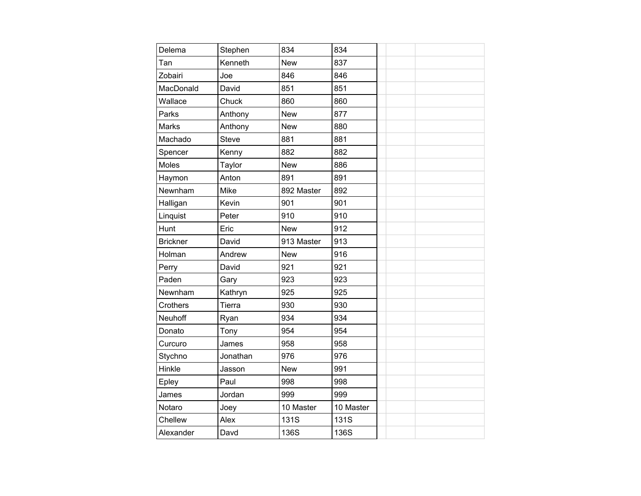| Delema          | Stephen      | 834        | 834       |  |  |  |
|-----------------|--------------|------------|-----------|--|--|--|
| Tan             | Kenneth      | <b>New</b> | 837       |  |  |  |
| Zobairi         | Joe          | 846        | 846       |  |  |  |
| MacDonald       | David        | 851        | 851       |  |  |  |
| Wallace         | Chuck        | 860        | 860       |  |  |  |
| Parks           | Anthony      | <b>New</b> | 877       |  |  |  |
| Marks           | Anthony      | <b>New</b> | 880       |  |  |  |
| Machado         | <b>Steve</b> | 881        | 881       |  |  |  |
| Spencer         | Kenny        | 882        | 882       |  |  |  |
| Moles           | Taylor       | <b>New</b> | 886       |  |  |  |
| Haymon          | Anton        | 891        | 891       |  |  |  |
| Newnham         | Mike         | 892 Master | 892       |  |  |  |
| Halligan        | Kevin        | 901        | 901       |  |  |  |
| Linquist        | Peter        | 910        | 910       |  |  |  |
| Hunt            | Eric         | <b>New</b> | 912       |  |  |  |
| <b>Brickner</b> | David        | 913 Master | 913       |  |  |  |
| Holman          | Andrew       | <b>New</b> | 916       |  |  |  |
| Perry           | David        | 921        | 921       |  |  |  |
| Paden           | Gary         | 923        | 923       |  |  |  |
| Newnham         | Kathryn      | 925        | 925       |  |  |  |
| Crothers        | Tierra       | 930        | 930       |  |  |  |
| Neuhoff         | Ryan         | 934        | 934       |  |  |  |
| Donato          | Tony         | 954        | 954       |  |  |  |
| Curcuro         | James        | 958        | 958       |  |  |  |
| Stychno         | Jonathan     | 976        | 976       |  |  |  |
| Hinkle          | Jasson       | <b>New</b> | 991       |  |  |  |
| Epley           | Paul         | 998        | 998       |  |  |  |
| James           | Jordan       | 999        | 999       |  |  |  |
| Notaro          | Joey         | 10 Master  | 10 Master |  |  |  |
| Chellew         | Alex         | 131S       | 131S      |  |  |  |
| Alexander       | Davd         | 136S       | 136S      |  |  |  |